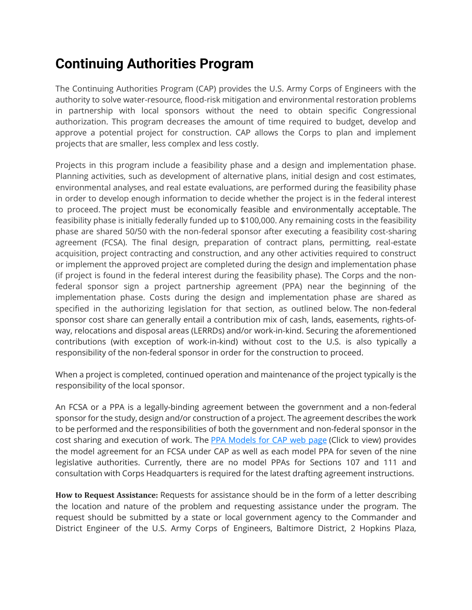# **Continuing Authorities Program**

The Continuing Authorities Program (CAP) provides the U.S. Army Corps of Engineers with the authority to solve water-resource, flood-risk mitigation and environmental restoration problems in partnership with local sponsors without the need to obtain specific Congressional authorization. This program decreases the amount of time required to budget, develop and approve a potential project for construction. CAP allows the Corps to plan and implement projects that are smaller, less complex and less costly.

Projects in this program include a feasibility phase and a design and implementation phase. Planning activities, such as development of alternative plans, initial design and cost estimates, environmental analyses, and real estate evaluations, are performed during the feasibility phase in order to develop enough information to decide whether the project is in the federal interest to proceed. The project must be economically feasible and environmentally acceptable. The feasibility phase is initially federally funded up to \$100,000. Any remaining costs in the feasibility phase are shared 50/50 with the non-federal sponsor after executing a feasibility cost-sharing agreement (FCSA). The final design, preparation of contract plans, permitting, real-estate acquisition, project contracting and construction, and any other activities required to construct or implement the approved project are completed during the design and implementation phase (if project is found in the federal interest during the feasibility phase). The Corps and the nonfederal sponsor sign a project partnership agreement (PPA) near the beginning of the implementation phase. Costs during the design and implementation phase are shared as specified in the authorizing legislation for that section, as outlined below. The non-federal sponsor cost share can generally entail a contribution mix of cash, lands, easements, rights-ofway, relocations and disposal areas (LERRDs) and/or work-in-kind. Securing the aforementioned contributions (with exception of work-in-kind) without cost to the U.S. is also typically a responsibility of the non-federal sponsor in order for the construction to proceed.

When a project is completed, continued operation and maintenance of the project typically is the responsibility of the local sponsor.

An FCSA or a PPA is a legally-binding agreement between the government and a non-federal sponsor for the study, design and/or construction of a project. The agreement describes the work to be performed and the responsibilities of both the government and non-federal sponsor in the cost sharing and execution of work. The **PPA [Models](http://www.usace.army.mil/Missions/Civil-Works/Project-Partnership-Agreements/model_cap/) for CAP web page (Click to view)** provides the model agreement for an FCSA under CAP as well as each model PPA for seven of the nine legislative authorities. Currently, there are no model PPAs for Sections 107 and 111 and consultation with Corps Headquarters is required for the latest drafting agreement instructions.

**How to Request Assistance:** Requests for assistance should be in the form of a letter describing the location and nature of the problem and requesting assistance under the program. The request should be submitted by a state or local government agency to the Commander and District Engineer of the U.S. Army Corps of Engineers, Baltimore District, 2 Hopkins Plaza,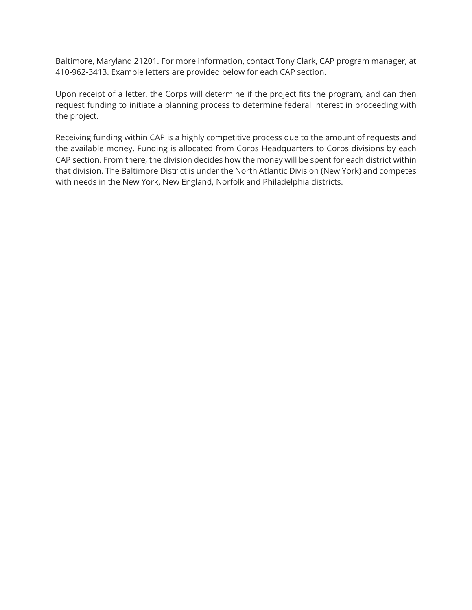Baltimore, Maryland 21201. For more information, contact Tony Clark, CAP program manager, at 410-962-3413. Example letters are provided below for each CAP section.

Upon receipt of a letter, the Corps will determine if the project fits the program, and can then request funding to initiate a planning process to determine federal interest in proceeding with the project.

Receiving funding within CAP is a highly competitive process due to the amount of requests and the available money. Funding is allocated from Corps Headquarters to Corps divisions by each CAP section. From there, the division decides how the money will be spent for each district within that division. The Baltimore District is under the North Atlantic Division (New York) and competes with needs in the New York, New England, Norfolk and Philadelphia districts.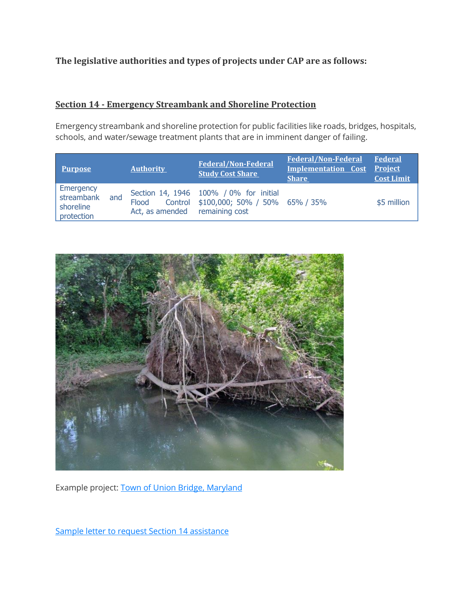# **The legislative authorities and types of projects under CAP are as follows:**

#### **Section 14 - Emergency Streambank and Shoreline Protection**

Emergency streambank and shoreline protection for public facilities like roads, bridges, hospitals, schools, and water/sewage treatment plants that are in imminent danger of failing.

| <b>Purpose</b>                                     |     | <b>Authority</b>                        | <b>Federal/Non-Federal</b><br><b>Study Cost Share</b>                            | <b>Federal/Non-Federal</b><br><b>Implementation Cost Project</b><br><b>Share</b> | <b>Federal</b><br><b>Cost Limit</b> |
|----------------------------------------------------|-----|-----------------------------------------|----------------------------------------------------------------------------------|----------------------------------------------------------------------------------|-------------------------------------|
| Emergency<br>streambank<br>shoreline<br>protection | and | Flood<br>Act, as amended remaining cost | Section 14, 1946 100% / 0% for initial<br>Control \$100,000; 50% / 50% 65% / 35% |                                                                                  | \$5 million                         |



Example project: Town of Union Bridge, [Maryland](http://cdm16021.contentdm.oclc.org/cdm/ref/collection/p16021coll11/id/840)

Sample letter to request Section 14 [assistance](https://www.nab.usace.army.mil/Portals/63/CAP_Section_14_letter.pdf)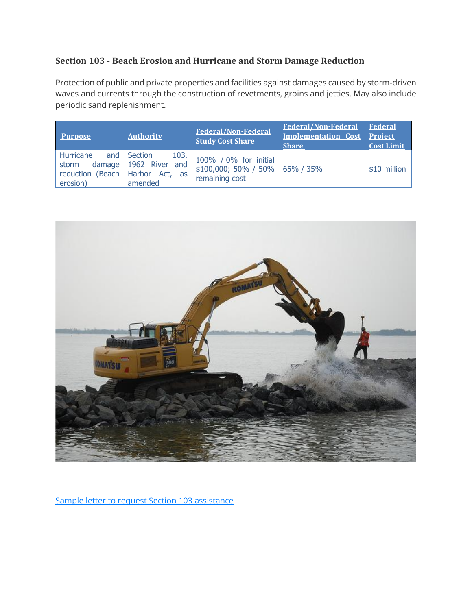# **Section 103 - Beach Erosion and Hurricane and Storm Damage Reduction**

Protection of public and private properties and facilities against damages caused by storm-driven waves and currents through the construction of revetments, groins and jetties. May also include periodic sand replenishment.

| <b>Purpose</b>                                                    | <b>Authority</b>                                        | <b>Federal/Non-Federal</b><br><b>Study Cost Share</b>                     | <b>Federal/Non-Federal Federal</b><br>Implementation Cost Project<br><b>Share</b> | <b>Cost Limit</b> |
|-------------------------------------------------------------------|---------------------------------------------------------|---------------------------------------------------------------------------|-----------------------------------------------------------------------------------|-------------------|
| Hurricane<br>storm<br>reduction (Beach Harbor Act, as<br>erosion) | and Section<br>103,<br>damage 1962 River and<br>amended | 100% / 0% for initial<br>\$100,000; 50% / 50% 65% / 35%<br>remaining cost |                                                                                   | \$10 million      |



Sample letter to request Section 103 [assistance](https://www.nab.usace.army.mil/Portals/63/CAP_Section_103_letter_1.pdf)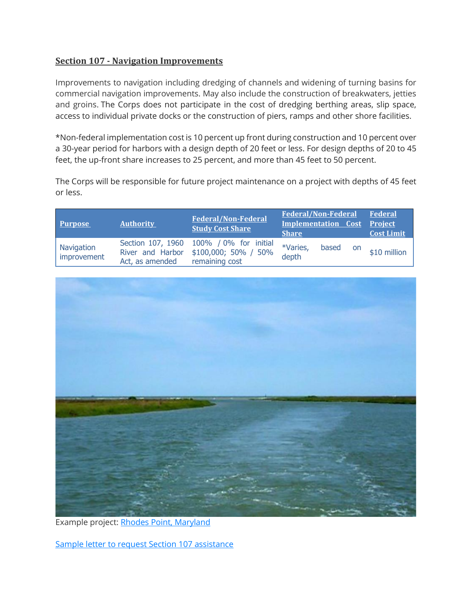#### **Section 107 - Navigation Improvements**

Improvements to navigation including dredging of channels and widening of turning basins for commercial navigation improvements. May also include the construction of breakwaters, jetties and groins. The Corps does not participate in the cost of dredging berthing areas, slip space, access to individual private docks or the construction of piers, ramps and other shore facilities.

\*Non-federal implementation cost is 10 percent up front during construction and 10 percent over a 30-year period for harbors with a design depth of 20 feet or less. For design depths of 20 to 45 feet, the up-front share increases to 25 percent, and more than 45 feet to 50 percent.

The Corps will be responsible for future project maintenance on a project with depths of 45 feet or less.

| <b>Purpose</b>            | <b>Authority</b>                                         | <b>Federal/Non-Federal</b><br><b>Study Cost Share</b>              | <b>Federal/Non-Federal</b><br><b>Implementation Cost Project</b><br><b>Share</b> |           | Federal<br><b>Cost Limit</b> |
|---------------------------|----------------------------------------------------------|--------------------------------------------------------------------|----------------------------------------------------------------------------------|-----------|------------------------------|
| Navigation<br>improvement | Section 107, 1960<br>River and Harbor<br>Act, as amended | 100% / 0% for initial<br>$$100,000; 50\% / 50\%$<br>remaining cost | *Varies,<br>based<br>depth                                                       | <b>on</b> | \$10 million                 |



Example project: Rhodes Point, [Maryland](https://www.nab.usace.army.mil/Missions/Civil-Works/cap/RhodesPoint/)

Sample letter to request Section 107 [assistance](https://www.nab.usace.army.mil/Portals/63/CAP_Section_107_letter.pdf)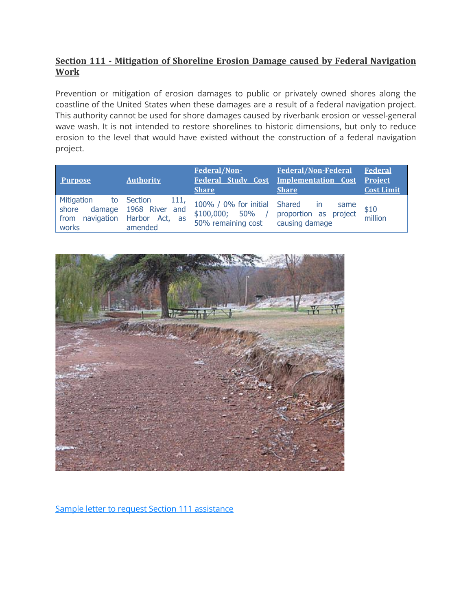## **Section 111 - Mitigation of Shoreline Erosion Damage caused by Federal Navigation Work**

Prevention or mitigation of erosion damages to public or privately owned shores along the coastline of the United States when these damages are a result of a federal navigation project. This authority cannot be used for shore damages caused by riverbank erosion or vessel-general wave wash. It is not intended to restore shorelines to historic dimensions, but only to reduce erosion to the level that would have existed without the construction of a federal navigation project.

| Purpose                                    | <b>Authority</b>                                                                 | Federal/Non-<br><b>Federal Study Cost</b><br><b>Share</b>                | <b>Federal/Non-Federal</b><br>Implementation Cost Project<br><b>Share</b> | <b>Federal</b><br><b>Cost Limit</b> |
|--------------------------------------------|----------------------------------------------------------------------------------|--------------------------------------------------------------------------|---------------------------------------------------------------------------|-------------------------------------|
| Mitigation<br>to<br>shore<br>from<br>works | Section<br>111,<br>damage 1968 River and<br>navigation Harbor Act, as<br>amended | 100% / 0% for initial Shared<br>$$100,000; 50\%$ /<br>50% remaining cost | in.<br>same<br>proportion as project<br>causing damage                    | $$10$<br>million                    |



Sample letter to request Section 111 [assistance](https://www.nab.usace.army.mil/Portals/63/CAP_Section_111_letter.pdf)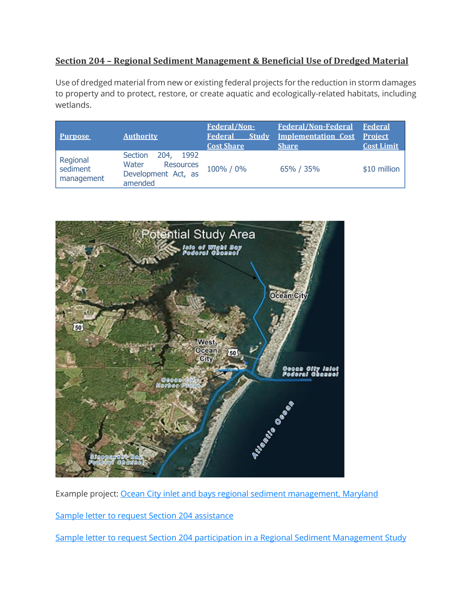## **Section 204 – Regional Sediment Management & Beneficial Use of Dredged Material**

Use of dredged material from new or existing federal projects for the reduction in storm damages to property and to protect, restore, or create aquatic and ecologically-related habitats, including wetlands.

|                                    |                                                                                        | Federal/Non-            | <b>Federal/Non-Federal</b>         | <b>Federal</b>    |
|------------------------------------|----------------------------------------------------------------------------------------|-------------------------|------------------------------------|-------------------|
| <b>Purpose</b>                     | <b>Authority</b>                                                                       | <b>Study</b><br>Federal | <b>Implementation Cost Project</b> |                   |
|                                    |                                                                                        | <b>Cost Share</b>       | <b>Share</b>                       | <b>Cost Limit</b> |
| Regional<br>sediment<br>management | 204,<br>1992<br>Section<br>Water<br><b>Resources</b><br>Development Act, as<br>amended | 100% / 0%               | 65% / 35%                          | \$10 million      |



Example project: Ocean City inlet and bays regional sediment [management,](http://cdm16021.contentdm.oclc.org/cdm/ref/collection/p16021coll11/id/1084) Maryland

Sample letter to request Section 204 [assistance](https://www.nab.usace.army.mil/Portals/63/CAP_Section_204.pdf)

Sample letter to request Section 204 participation in a Regional Sediment [Management](https://www.nab.usace.army.mil/Portals/63/CAP_Section_204e_RSM.pdf) Study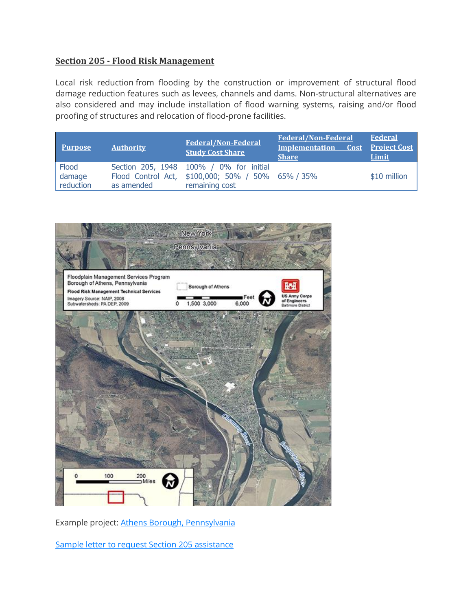#### **Section 205 - Flood Risk Management**

Local risk reduction from flooding by the construction or improvement of structural flood damage reduction features such as levees, channels and dams. Non-structural alternatives are also considered and may include installation of flood warning systems, raising and/or flood proofing of structures and relocation of flood-prone facilities.

| <b>Purpose</b>               | <b>Authority</b> | <b>Federal/Non-Federal</b><br><b>Study Cost Share</b>                                                          | <b>Federal/Non-Federal</b><br><b>Implementation</b><br><b>Share</b> | Federal<br><b>Cost Project Cost</b><br>Limit |
|------------------------------|------------------|----------------------------------------------------------------------------------------------------------------|---------------------------------------------------------------------|----------------------------------------------|
| Flood<br>damage<br>reduction | as amended       | Section 205, 1948 100% / 0% for initial<br>Flood Control Act, \$100,000; 50% / 50% 65% / 35%<br>remaining cost |                                                                     | \$10 million                                 |



Example project: Athens Borough, [Pennsylvania](http://cdm16021.contentdm.oclc.org/cdm/ref/collection/p16021coll11/id/577)

Sample letter to request Section 205 [assistance](https://www.nab.usace.army.mil/Portals/63/CAP_Section_205_letter.pdf)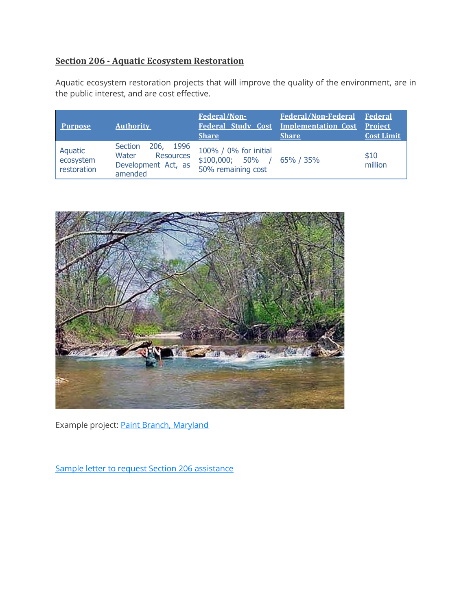# **Section 206 - Aquatic Ecosystem Restoration**

Aquatic ecosystem restoration projects that will improve the quality of the environment, are in the public interest, and are cost effective.

| <b>Purpose</b>                      | <b>Authority</b>                                                             | Federal/Non-<br><b>Share</b>                                      | Federal/Non-Federal Federal<br><b>Federal Study Cost Implementation Cost Project</b><br><b>Share</b> | <b>Cost Limit</b> |
|-------------------------------------|------------------------------------------------------------------------------|-------------------------------------------------------------------|------------------------------------------------------------------------------------------------------|-------------------|
| Aquatic<br>ecosystem<br>restoration | 206, 1996<br>Section<br>Resources<br>Water<br>Development Act, as<br>amended | 100% / 0% for initial<br>$$100,000; 50\%$ /<br>50% remaining cost | 65% / 35%                                                                                            | \$10<br>million   |



Example project: **Paint Branch, [Maryland](http://cdm16021.contentdm.oclc.org/cdm/ref/collection/p16021coll11/id/1088)** 

Sample letter to request Section 206 [assistance](https://www.nab.usace.army.mil/Portals/63/CAP_Section_206_letter.pdf)